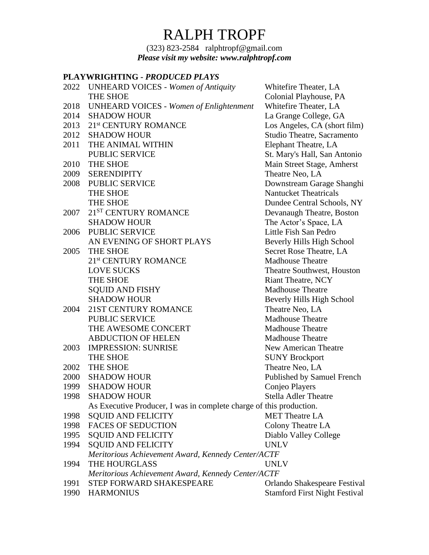(323) 823-2584 ralphtropf@gmail.com *Please visit my website: www.ralphtropf.com*

# **PLAYWRIGHTING -** *PRODUCED PLAYS*

|      | 1 BAL WAQAHAN - 1 AVDUUDD 1 BALU                                    |                                      |
|------|---------------------------------------------------------------------|--------------------------------------|
|      | 2022 UNHEARD VOICES - Women of Antiquity                            | Whitefire Theater, LA                |
|      | <b>THE SHOE</b>                                                     | Colonial Playhouse, PA               |
| 2018 | <b>UNHEARD VOICES - Women of Enlightenment</b>                      | Whitefire Theater, LA                |
| 2014 | <b>SHADOW HOUR</b>                                                  | La Grange College, GA                |
| 2013 | 21 <sup>st</sup> CENTURY ROMANCE                                    | Los Angeles, CA (short film)         |
| 2012 | <b>SHADOW HOUR</b>                                                  | Studio Theatre, Sacramento           |
| 2011 | THE ANIMAL WITHIN                                                   | Elephant Theatre, LA                 |
|      | <b>PUBLIC SERVICE</b>                                               | St. Mary's Hall, San Antonio         |
| 2010 | THE SHOE                                                            | Main Street Stage, Amherst           |
| 2009 | <b>SERENDIPITY</b>                                                  | Theatre Neo, LA                      |
| 2008 | PUBLIC SERVICE                                                      | Downstream Garage Shanghi            |
|      | THE SHOE                                                            | <b>Nantucket Theatricals</b>         |
|      | THE SHOE                                                            | Dundee Central Schools, NY           |
| 2007 | 21 <sup>ST</sup> CENTURY ROMANCE                                    | Devanaugh Theatre, Boston            |
|      | <b>SHADOW HOUR</b>                                                  | The Actor's Space, LA                |
| 2006 | PUBLIC SERVICE                                                      | Little Fish San Pedro                |
|      | AN EVENING OF SHORT PLAYS                                           | <b>Beverly Hills High School</b>     |
| 2005 | THE SHOE                                                            | Secret Rose Theatre, LA              |
|      | 21 <sup>st</sup> CENTURY ROMANCE                                    | <b>Madhouse Theatre</b>              |
|      | <b>LOVE SUCKS</b>                                                   | Theatre Southwest, Houston           |
|      | <b>THE SHOE</b>                                                     | <b>Riant Theatre, NCY</b>            |
|      | <b>SQUID AND FISHY</b>                                              | <b>Madhouse Theatre</b>              |
|      | <b>SHADOW HOUR</b>                                                  | Beverly Hills High School            |
| 2004 | 21ST CENTURY ROMANCE                                                | Theatre Neo, LA                      |
|      | PUBLIC SERVICE                                                      | <b>Madhouse Theatre</b>              |
|      | THE AWESOME CONCERT                                                 | <b>Madhouse Theatre</b>              |
|      | <b>ABDUCTION OF HELEN</b>                                           | <b>Madhouse Theatre</b>              |
| 2003 | <b>IMPRESSION: SUNRISE</b>                                          | New American Theatre                 |
|      | THE SHOE                                                            | <b>SUNY Brockport</b>                |
| 2002 | THE SHOE                                                            | Theatre Neo, LA                      |
| 2000 | <b>SHADOW HOUR</b>                                                  | Published by Samuel French           |
| 1999 | <b>SHADOW HOUR</b>                                                  | Conjeo Players                       |
| 1998 | <b>SHADOW HOUR</b>                                                  | <b>Stella Adler Theatre</b>          |
|      | As Executive Producer, I was in complete charge of this production. |                                      |
| 1998 | <b>SQUID AND FELICITY</b>                                           | <b>MET</b> Theatre LA                |
| 1998 | <b>FACES OF SEDUCTION</b>                                           | Colony Theatre LA                    |
| 1995 | <b>SQUID AND FELICITY</b>                                           | Diablo Valley College                |
| 1994 | <b>SQUID AND FELICITY</b>                                           | <b>UNLV</b>                          |
|      | Meritorious Achievement Award, Kennedy Center/ACTF                  |                                      |
| 1994 | THE HOURGLASS                                                       | <b>UNLV</b>                          |
|      | Meritorious Achievement Award, Kennedy Center/ACTF                  |                                      |
| 1991 | STEP FORWARD SHAKESPEARE                                            | Orlando Shakespeare Festival         |
| 1990 | <b>HARMONIUS</b>                                                    | <b>Stamford First Night Festival</b> |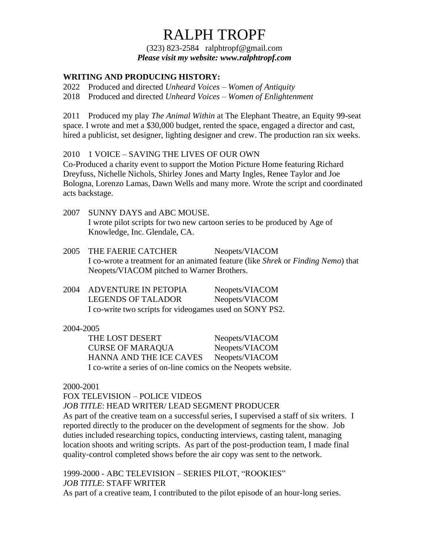(323) 823-2584 ralphtropf@gmail.com *Please visit my website: www.ralphtropf.com*

## **WRITING AND PRODUCING HISTORY:**

2022 Produced and directed *Unheard Voices* – *Women of Antiquity*

2018 Produced and directed *Unheard Voices* – *Women of Enlightenment*

2011 Produced my play *The Animal Within* at The Elephant Theatre, an Equity 99-seat space. I wrote and met a \$30,000 budget, rented the space, engaged a director and cast, hired a publicist, set designer, lighting designer and crew. The production ran six weeks.

### 2010 1 VOICE – SAVING THE LIVES OF OUR OWN

Co-Produced a charity event to support the Motion Picture Home featuring Richard Dreyfuss, Nichelle Nichols, Shirley Jones and Marty Ingles, Renee Taylor and Joe Bologna, Lorenzo Lamas, Dawn Wells and many more. Wrote the script and coordinated acts backstage.

- 2007 SUNNY DAYS and ABC MOUSE. I wrote pilot scripts for two new cartoon series to be produced by Age of Knowledge, Inc. Glendale, CA.
- 2005 THE FAERIE CATCHER Neopets/VIACOM I co-wrote a treatment for an animated feature (like *Shrek* or *Finding Nemo*) that Neopets/VIACOM pitched to Warner Brothers.
- 2004 ADVENTURE IN PETOPIA Neopets/VIACOM LEGENDS OF TALADOR Neopets/VIACOM I co-write two scripts for videogames used on SONY PS2.

#### 2004-2005

THE LOST DESERT Neopets/VIACOM CURSE OF MARAQUA Neopets/VIACOM HANNA AND THE ICE CAVES Neopets/VIACOM I co-write a series of on-line comics on the Neopets website.

#### 2000-2001

### FOX TELEVISION – POLICE VIDEOS

*JOB TITLE*: HEAD WRITER/ LEAD SEGMENT PRODUCER

As part of the creative team on a successful series, I supervised a staff of six writers. I reported directly to the producer on the development of segments for the show. Job duties included researching topics, conducting interviews, casting talent, managing location shoots and writing scripts. As part of the post-production team, I made final quality-control completed shows before the air copy was sent to the network.

### 1999-2000 - ABC TELEVISION – SERIES PILOT, "ROOKIES" *JOB TITLE*: STAFF WRITER

As part of a creative team, I contributed to the pilot episode of an hour-long series.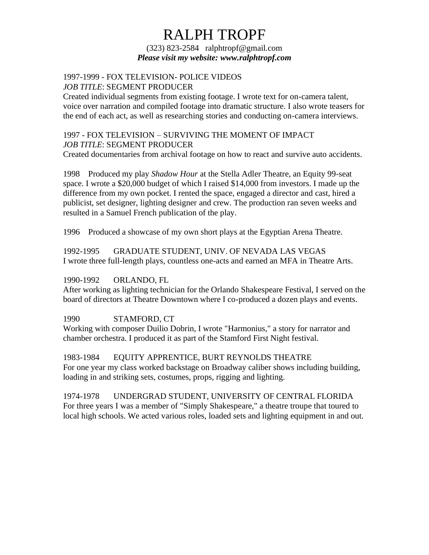(323) 823-2584 ralphtropf@gmail.com *Please visit my website: www.ralphtropf.com*

#### 1997-1999 - FOX TELEVISION- POLICE VIDEOS *JOB TITLE*: SEGMENT PRODUCER

Created individual segments from existing footage. I wrote text for on-camera talent, voice over narration and compiled footage into dramatic structure. I also wrote teasers for the end of each act, as well as researching stories and conducting on-camera interviews.

## 1997 - FOX TELEVISION – SURVIVING THE MOMENT OF IMPACT *JOB TITLE*: SEGMENT PRODUCER

Created documentaries from archival footage on how to react and survive auto accidents.

1998 Produced my play *Shadow Hour* at the Stella Adler Theatre, an Equity 99-seat space. I wrote a \$20,000 budget of which I raised \$14,000 from investors. I made up the difference from my own pocket. I rented the space, engaged a director and cast, hired a publicist, set designer, lighting designer and crew. The production ran seven weeks and resulted in a Samuel French publication of the play.

1996 Produced a showcase of my own short plays at the Egyptian Arena Theatre.

1992-1995 GRADUATE STUDENT, UNIV. OF NEVADA LAS VEGAS I wrote three full-length plays, countless one-acts and earned an MFA in Theatre Arts.

### 1990-1992 ORLANDO, FL

After working as lighting technician for the Orlando Shakespeare Festival, I served on the board of directors at Theatre Downtown where I co-produced a dozen plays and events.

1990 STAMFORD, CT

Working with composer Duilio Dobrin, I wrote "Harmonius," a story for narrator and chamber orchestra. I produced it as part of the Stamford First Night festival.

1983-1984 EQUITY APPRENTICE, BURT REYNOLDS THEATRE For one year my class worked backstage on Broadway caliber shows including building, loading in and striking sets, costumes, props, rigging and lighting.

1974-1978 UNDERGRAD STUDENT, UNIVERSITY OF CENTRAL FLORIDA For three years I was a member of "Simply Shakespeare," a theatre troupe that toured to local high schools. We acted various roles, loaded sets and lighting equipment in and out.